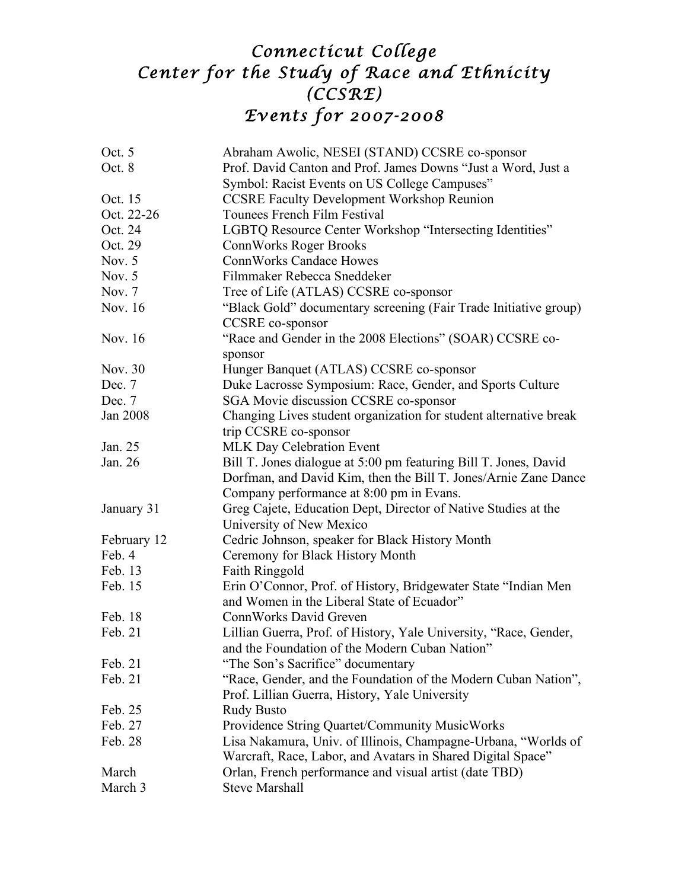## *Connecticut College Center for the Study of Race and Ethnicity (CCSRE) Events for 2007-2008*

| Oct. 5      | Abraham Awolic, NESEI (STAND) CCSRE co-sponsor                                                                                      |
|-------------|-------------------------------------------------------------------------------------------------------------------------------------|
| Oct. 8      | Prof. David Canton and Prof. James Downs "Just a Word, Just a                                                                       |
|             | Symbol: Racist Events on US College Campuses"                                                                                       |
| Oct. 15     | <b>CCSRE Faculty Development Workshop Reunion</b>                                                                                   |
| Oct. 22-26  | Tounees French Film Festival                                                                                                        |
| Oct. 24     | LGBTQ Resource Center Workshop "Intersecting Identities"                                                                            |
| Oct. 29     | <b>ConnWorks Roger Brooks</b>                                                                                                       |
| Nov. $5$    | <b>ConnWorks Candace Howes</b>                                                                                                      |
| Nov. $5$    | Filmmaker Rebecca Sneddeker                                                                                                         |
| Nov. $7$    | Tree of Life (ATLAS) CCSRE co-sponsor                                                                                               |
| Nov. 16     | "Black Gold" documentary screening (Fair Trade Initiative group)<br><b>CCSRE</b> co-sponsor                                         |
| Nov. 16     | "Race and Gender in the 2008 Elections" (SOAR) CCSRE co-<br>sponsor                                                                 |
| Nov. 30     | Hunger Banquet (ATLAS) CCSRE co-sponsor                                                                                             |
| Dec. 7      | Duke Lacrosse Symposium: Race, Gender, and Sports Culture                                                                           |
| Dec. 7      | SGA Movie discussion CCSRE co-sponsor                                                                                               |
| Jan 2008    | Changing Lives student organization for student alternative break<br>trip CCSRE co-sponsor                                          |
| Jan. 25     | <b>MLK Day Celebration Event</b>                                                                                                    |
| Jan. 26     | Bill T. Jones dialogue at 5:00 pm featuring Bill T. Jones, David<br>Dorfman, and David Kim, then the Bill T. Jones/Arnie Zane Dance |
| January 31  | Company performance at 8:00 pm in Evans.                                                                                            |
|             | Greg Cajete, Education Dept, Director of Native Studies at the<br>University of New Mexico                                          |
| February 12 | Cedric Johnson, speaker for Black History Month                                                                                     |
| Feb. 4      | Ceremony for Black History Month                                                                                                    |
| Feb. 13     | Faith Ringgold                                                                                                                      |
| Feb. 15     | Erin O'Connor, Prof. of History, Bridgewater State "Indian Men<br>and Women in the Liberal State of Ecuador"                        |
| Feb. 18     | Conn Works David Greven                                                                                                             |
| Feb. 21     | Lillian Guerra, Prof. of History, Yale University, "Race, Gender,<br>and the Foundation of the Modern Cuban Nation"                 |
| Feb. 21     | "The Son's Sacrifice" documentary                                                                                                   |
| Feb. 21     | "Race, Gender, and the Foundation of the Modern Cuban Nation",                                                                      |
|             | Prof. Lillian Guerra, History, Yale University                                                                                      |
| Feb. 25     | <b>Rudy Busto</b>                                                                                                                   |
| Feb. 27     | Providence String Quartet/Community MusicWorks                                                                                      |
| Feb. 28     | Lisa Nakamura, Univ. of Illinois, Champagne-Urbana, "Worlds of<br>Warcraft, Race, Labor, and Avatars in Shared Digital Space"       |
| March       | Orlan, French performance and visual artist (date TBD)                                                                              |
| March 3     | <b>Steve Marshall</b>                                                                                                               |